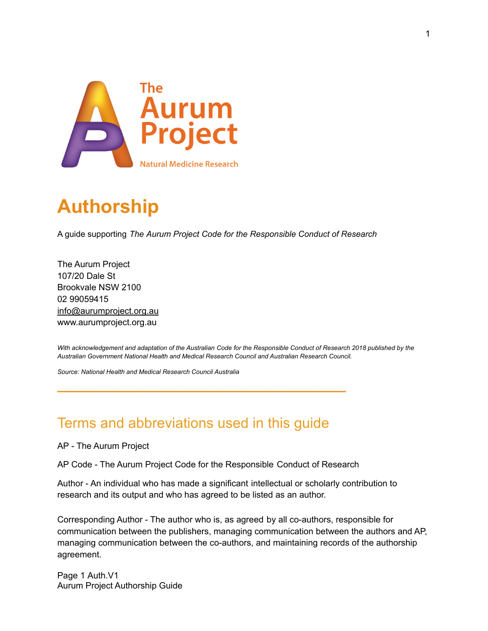

# **Authorship**

A guide supporting *The Aurum Project Code for the Responsible Conduct of Research*

The Aurum Project 107/20 Dale St Brookvale NSW 2100 02 99059415 info@aurumproject.org.au www.aurumproject.org.au

With acknowledgement and adaptation of the Australian Code for the Responsible Conduct of Research 2018 published by the *Australian Government National Health and Medical Research Council and Australian Research Council.*

*Source: National Health and Medical Research Council Australia*

## Terms and abbreviations used in this guide

**—————————————————————————**

AP - The Aurum Project

AP Code - The Aurum Project Code for the Responsible Conduct of Research

Author - An individual who has made a significant intellectual or scholarly contribution to research and its output and who has agreed to be listed as an author.

Corresponding Author - The author who is, as agreed by all co-authors, responsible for communication between the publishers, managing communication between the authors and AP, managing communication between the co-authors, and maintaining records of the authorship agreement.

Page 1 Auth.V1 Aurum Project Authorship Guide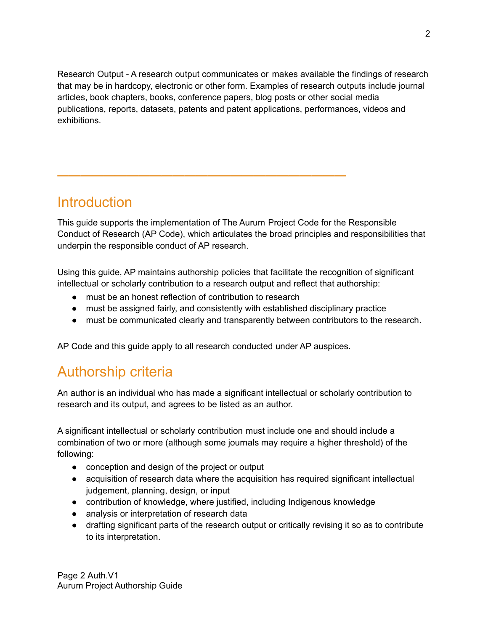Research Output - A research output communicates or makes available the findings of research that may be in hardcopy, electronic or other form. Examples of research outputs include journal articles, book chapters, books, conference papers, blog posts or other social media publications, reports, datasets, patents and patent applications, performances, videos and exhibitions.

## **Introduction**

This guide supports the implementation of The Aurum Project Code for the Responsible Conduct of Research (AP Code), which articulates the broad principles and responsibilities that underpin the responsible conduct of AP research.

Using this guide, AP maintains authorship policies that facilitate the recognition of significant intellectual or scholarly contribution to a research output and reflect that authorship:

- must be an honest reflection of contribution to research
- must be assigned fairly, and consistently with established disciplinary practice
- must be communicated clearly and transparently between contributors to the research.

AP Code and this guide apply to all research conducted under AP auspices.

**—————————————————————————**

## Authorship criteria

An author is an individual who has made a significant intellectual or scholarly contribution to research and its output, and agrees to be listed as an author.

A significant intellectual or scholarly contribution must include one and should include a combination of two or more (although some journals may require a higher threshold) of the following:

- conception and design of the project or output
- acquisition of research data where the acquisition has required significant intellectual judgement, planning, design, or input
- contribution of knowledge, where justified, including Indigenous knowledge
- analysis or interpretation of research data
- drafting significant parts of the research output or critically revising it so as to contribute to its interpretation.

Page 2 Auth.V1 Aurum Project Authorship Guide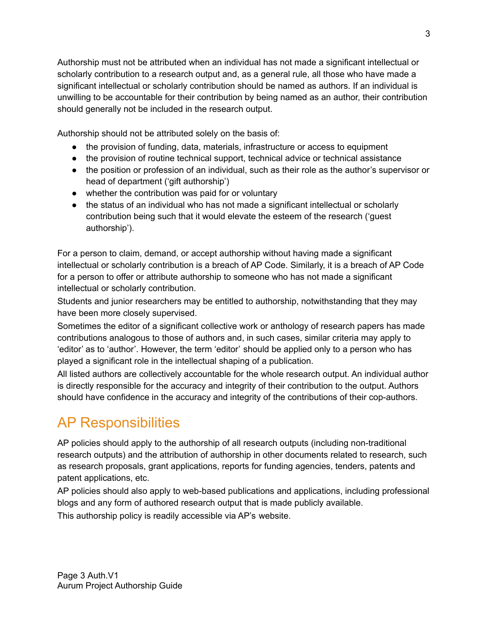Authorship must not be attributed when an individual has not made a significant intellectual or scholarly contribution to a research output and, as a general rule, all those who have made a significant intellectual or scholarly contribution should be named as authors. If an individual is unwilling to be accountable for their contribution by being named as an author, their contribution should generally not be included in the research output.

Authorship should not be attributed solely on the basis of:

- the provision of funding, data, materials, infrastructure or access to equipment
- the provision of routine technical support, technical advice or technical assistance
- the position or profession of an individual, such as their role as the author's supervisor or head of department ('gift authorship')
- whether the contribution was paid for or voluntary
- the status of an individual who has not made a significant intellectual or scholarly contribution being such that it would elevate the esteem of the research ('guest authorship').

For a person to claim, demand, or accept authorship without having made a significant intellectual or scholarly contribution is a breach of AP Code. Similarly, it is a breach of AP Code for a person to offer or attribute authorship to someone who has not made a significant intellectual or scholarly contribution.

Students and junior researchers may be entitled to authorship, notwithstanding that they may have been more closely supervised.

Sometimes the editor of a significant collective work or anthology of research papers has made contributions analogous to those of authors and, in such cases, similar criteria may apply to 'editor' as to 'author'. However, the term 'editor' should be applied only to a person who has played a significant role in the intellectual shaping of a publication.

All listed authors are collectively accountable for the whole research output. An individual author is directly responsible for the accuracy and integrity of their contribution to the output. Authors should have confidence in the accuracy and integrity of the contributions of their cop-authors.

# AP Responsibilities

AP policies should apply to the authorship of all research outputs (including non-traditional research outputs) and the attribution of authorship in other documents related to research, such as research proposals, grant applications, reports for funding agencies, tenders, patents and patent applications, etc.

AP policies should also apply to web-based publications and applications, including professional blogs and any form of authored research output that is made publicly available.

This authorship policy is readily accessible via AP's website.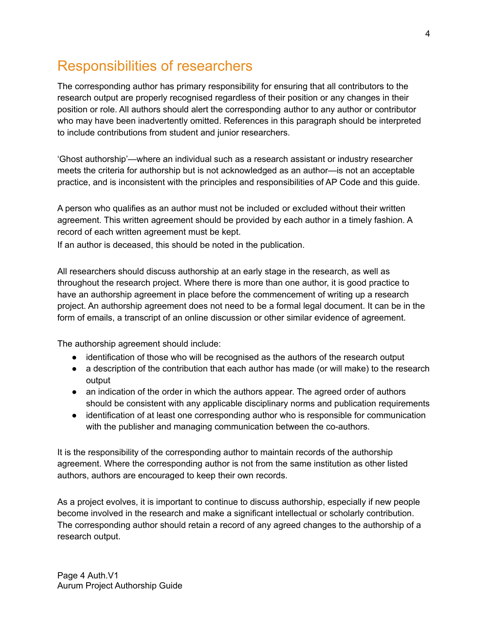## Responsibilities of researchers

The corresponding author has primary responsibility for ensuring that all contributors to the research output are properly recognised regardless of their position or any changes in their position or role. All authors should alert the corresponding author to any author or contributor who may have been inadvertently omitted. References in this paragraph should be interpreted to include contributions from student and junior researchers.

'Ghost authorship'—where an individual such as a research assistant or industry researcher meets the criteria for authorship but is not acknowledged as an author—is not an acceptable practice, and is inconsistent with the principles and responsibilities of AP Code and this guide.

A person who qualifies as an author must not be included or excluded without their written agreement. This written agreement should be provided by each author in a timely fashion. A record of each written agreement must be kept.

If an author is deceased, this should be noted in the publication.

All researchers should discuss authorship at an early stage in the research, as well as throughout the research project. Where there is more than one author, it is good practice to have an authorship agreement in place before the commencement of writing up a research project. An authorship agreement does not need to be a formal legal document. It can be in the form of emails, a transcript of an online discussion or other similar evidence of agreement.

The authorship agreement should include:

- identification of those who will be recognised as the authors of the research output
- a description of the contribution that each author has made (or will make) to the research output
- an indication of the order in which the authors appear. The agreed order of authors should be consistent with any applicable disciplinary norms and publication requirements
- identification of at least one corresponding author who is responsible for communication with the publisher and managing communication between the co-authors.

It is the responsibility of the corresponding author to maintain records of the authorship agreement. Where the corresponding author is not from the same institution as other listed authors, authors are encouraged to keep their own records.

As a project evolves, it is important to continue to discuss authorship, especially if new people become involved in the research and make a significant intellectual or scholarly contribution. The corresponding author should retain a record of any agreed changes to the authorship of a research output.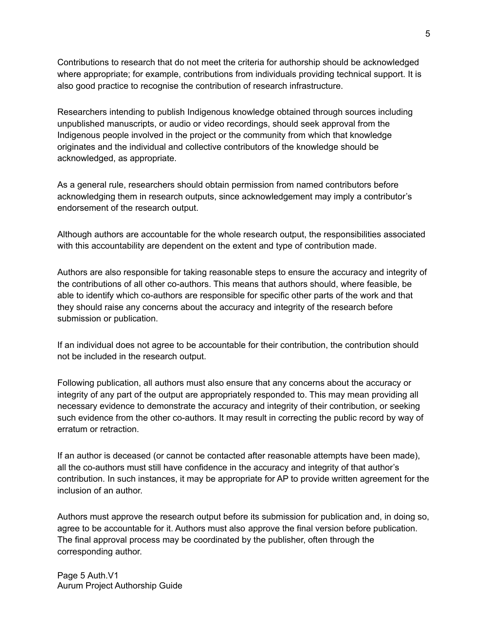Contributions to research that do not meet the criteria for authorship should be acknowledged where appropriate; for example, contributions from individuals providing technical support. It is also good practice to recognise the contribution of research infrastructure.

Researchers intending to publish Indigenous knowledge obtained through sources including unpublished manuscripts, or audio or video recordings, should seek approval from the Indigenous people involved in the project or the community from which that knowledge originates and the individual and collective contributors of the knowledge should be acknowledged, as appropriate.

As a general rule, researchers should obtain permission from named contributors before acknowledging them in research outputs, since acknowledgement may imply a contributor's endorsement of the research output.

Although authors are accountable for the whole research output, the responsibilities associated with this accountability are dependent on the extent and type of contribution made.

Authors are also responsible for taking reasonable steps to ensure the accuracy and integrity of the contributions of all other co-authors. This means that authors should, where feasible, be able to identify which co-authors are responsible for specific other parts of the work and that they should raise any concerns about the accuracy and integrity of the research before submission or publication.

If an individual does not agree to be accountable for their contribution, the contribution should not be included in the research output.

Following publication, all authors must also ensure that any concerns about the accuracy or integrity of any part of the output are appropriately responded to. This may mean providing all necessary evidence to demonstrate the accuracy and integrity of their contribution, or seeking such evidence from the other co-authors. It may result in correcting the public record by way of erratum or retraction.

If an author is deceased (or cannot be contacted after reasonable attempts have been made), all the co-authors must still have confidence in the accuracy and integrity of that author's contribution. In such instances, it may be appropriate for AP to provide written agreement for the inclusion of an author.

Authors must approve the research output before its submission for publication and, in doing so, agree to be accountable for it. Authors must also approve the final version before publication. The final approval process may be coordinated by the publisher, often through the corresponding author.

Page 5 Auth.V1 Aurum Project Authorship Guide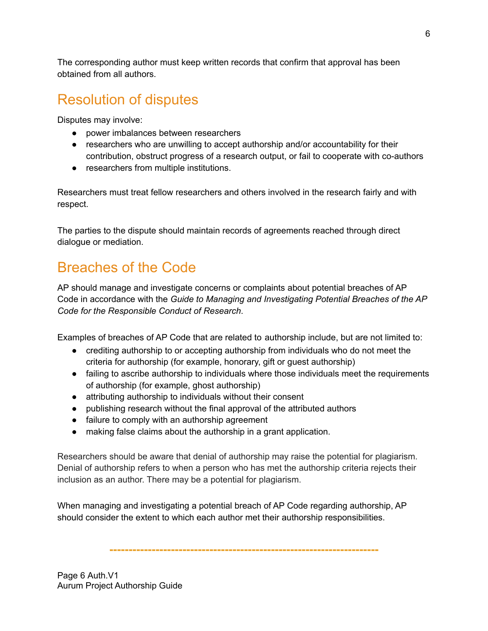The corresponding author must keep written records that confirm that approval has been obtained from all authors.

## Resolution of disputes

Disputes may involve:

- power imbalances between researchers
- researchers who are unwilling to accept authorship and/or accountability for their contribution, obstruct progress of a research output, or fail to cooperate with co-authors
- researchers from multiple institutions.

Researchers must treat fellow researchers and others involved in the research fairly and with respect.

The parties to the dispute should maintain records of agreements reached through direct dialogue or mediation.

# Breaches of the Code

AP should manage and investigate concerns or complaints about potential breaches of AP Code in accordance with the *Guide to Managing and Investigating Potential Breaches of the AP Code for the Responsible Conduct of Research*.

Examples of breaches of AP Code that are related to authorship include, but are not limited to:

- crediting authorship to or accepting authorship from individuals who do not meet the criteria for authorship (for example, honorary, gift or guest authorship)
- failing to ascribe authorship to individuals where those individuals meet the requirements of authorship (for example, ghost authorship)
- attributing authorship to individuals without their consent
- publishing research without the final approval of the attributed authors
- failure to comply with an authorship agreement
- making false claims about the authorship in a grant application.

Researchers should be aware that denial of authorship may raise the potential for plagiarism. Denial of authorship refers to when a person who has met the authorship criteria rejects their inclusion as an author. There may be a potential for plagiarism.

When managing and investigating a potential breach of AP Code regarding authorship, AP should consider the extent to which each author met their authorship responsibilities.

**----------------------------------------------------------------------**